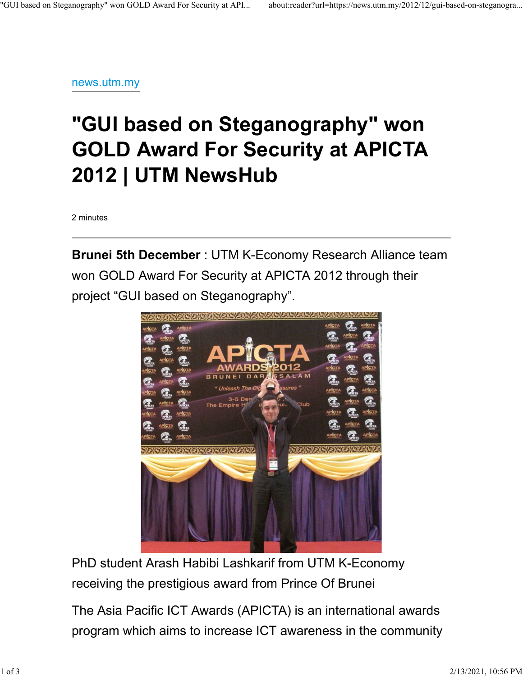news.utm.my

## "GUI based on Steganography" won GOLD Award For Security at APICTA 2012 | UTM NewsHub

2 minutes

Brunei 5th December : UTM K-Economy Research Alliance team won GOLD Award For Security at APICTA 2012 through their project "GUI based on Steganography".



PhD student Arash Habibi Lashkarif from UTM K-Economy receiving the prestigious award from Prince Of Brunei

The Asia Pacific ICT Awards (APICTA) is an international awards program which aims to increase ICT awareness in the community